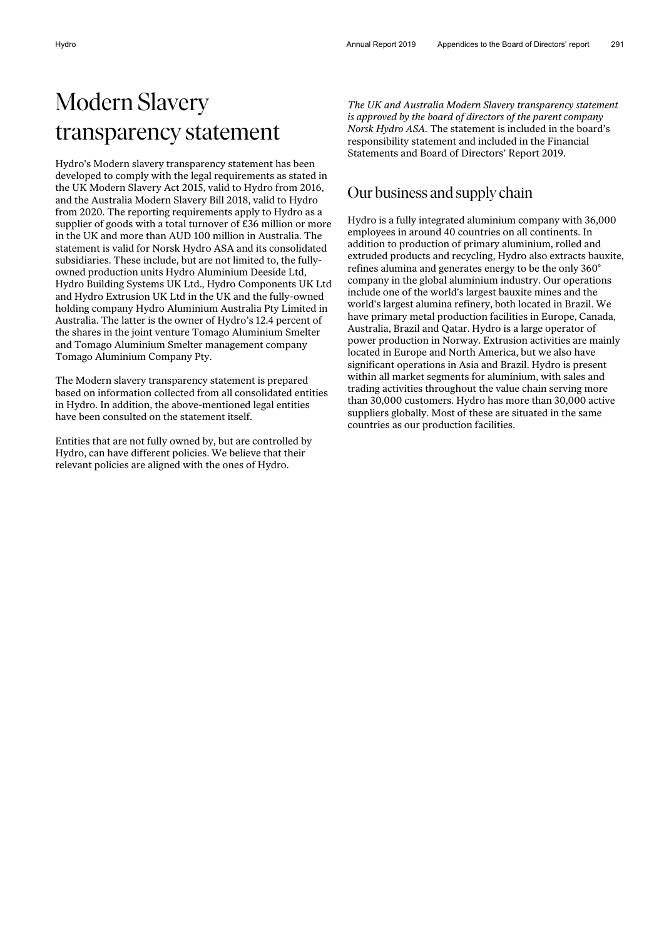# Modern Slavery transparency statement

Hydro's Modern slavery transparency statement has been developed to comply with the legal requirements as stated in the UK Modern Slavery Act 2015, valid to Hydro from 2016, and the Australia Modern Slavery Bill 2018, valid to Hydro from 2020. The reporting requirements apply to Hydro as a supplier of goods with a total turnover of £36 million or more in the UK and more than AUD 100 million in Australia. The statement is valid for Norsk Hydro ASA and its consolidated subsidiaries. These include, but are not limited to, the fullyowned production units Hydro Aluminium Deeside Ltd, Hydro Building Systems UK Ltd., Hydro Components UK Ltd and Hydro Extrusion UK Ltd in the UK and the fully-owned holding company Hydro Aluminium Australia Pty Limited in Australia. The latter is the owner of Hydro's 12.4 percent of the shares in the joint venture Tomago Aluminium Smelter and Tomago Aluminium Smelter management company Tomago Aluminium Company Pty.

The Modern slavery transparency statement is prepared based on information collected from all consolidated entities in Hydro. In addition, the above-mentioned legal entities have been consulted on the statement itself.

Entities that are not fully owned by, but are controlled by Hydro, can have different policies. We believe that their relevant policies are aligned with the ones of Hydro.

*The UK and Australia Modern Slavery transparency statement is approved by the board of directors of the parent company Norsk Hydro ASA.* The statement is included in the board's responsibility statement and included in the Financial Statements and Board of Directors' Report 2019.

## Our business and supply chain

Hydro is a fully integrated aluminium company with 36,000 employees in around 40 countries on all continents. In addition to production of primary aluminium, rolled and extruded products and recycling, Hydro also extracts bauxite, refines alumina and generates energy to be the only 360° company in the global aluminium industry. Our operations include one of the world's largest bauxite mines and the world's largest alumina refinery, both located in Brazil. We have primary metal production facilities in Europe, Canada, Australia, Brazil and Qatar. Hydro is a large operator of power production in Norway. Extrusion activities are mainly located in Europe and North America, but we also have significant operations in Asia and Brazil. Hydro is present within all market segments for aluminium, with sales and trading activities throughout the value chain serving more than 30,000 customers. Hydro has more than 30,000 active suppliers globally. Most of these are situated in the same countries as our production facilities.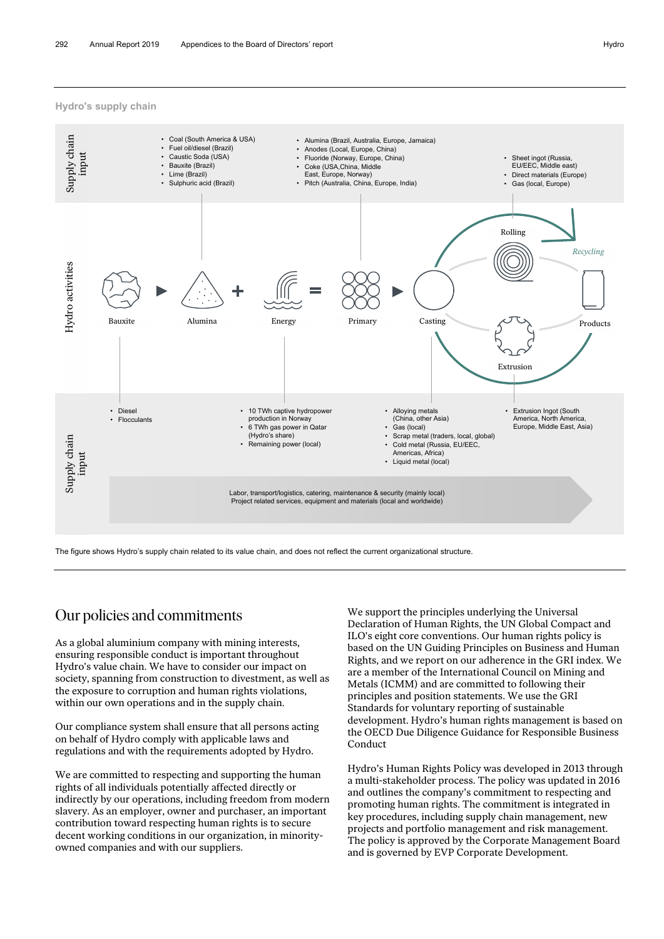**Hydro's supply chain**



The figure shows Hydro's supply chain related to its value chain, and does not reflect the current organizational structure.

#### Our policies and commitments

As a global aluminium company with mining interests, ensuring responsible conduct is important throughout Hydro's value chain. We have to consider our impact on society, spanning from construction to divestment, as well as the exposure to corruption and human rights violations, within our own operations and in the supply chain.

Our compliance system shall ensure that all persons acting on behalf of Hydro comply with applicable laws and regulations and with the requirements adopted by Hydro.

We are committed to respecting and supporting the human rights of all individuals potentially affected directly or indirectly by our operations, including freedom from modern slavery. As an employer, owner and purchaser, an important contribution toward respecting human rights is to secure decent working conditions in our organization, in minorityowned companies and with our suppliers.

We support the principles underlying the Universal Declaration of Human Rights, the UN Global Compact and ILO's eight core conventions. Our human rights policy is based on the UN Guiding Principles on Business and Human Rights, and we report on our adherence in the GRI index. We are a member of the International Council on Mining and Metals (ICMM) and are committed to following their principles and position statements. We use the GRI Standards for voluntary reporting of sustainable development. Hydro's human rights management is based on the OECD Due Diligence Guidance for Responsible Business Conduct

Hydro's Human Rights Policy was developed in 2013 through a multi-stakeholder process. The policy was updated in 2016 and outlines the company's commitment to respecting and promoting human rights. The commitment is integrated in key procedures, including supply chain management, new projects and portfolio management and risk management. The policy is approved by the Corporate Management Board and is governed by EVP Corporate Development.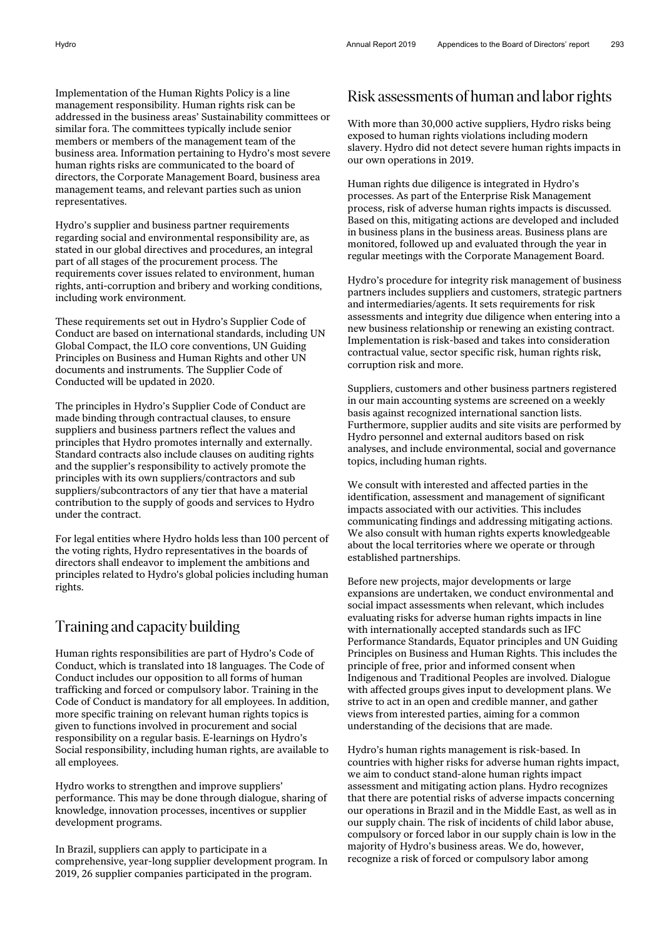Implementation of the Human Rights Policy is a line management responsibility. Human rights risk can be addressed in the business areas' Sustainability committees or similar fora. The committees typically include senior members or members of the management team of the business area. Information pertaining to Hydro's most severe human rights risks are communicated to the board of directors, the Corporate Management Board, business area management teams, and relevant parties such as union representatives.

Hydro's supplier and business partner requirements regarding social and environmental responsibility are, as stated in our global directives and procedures, an integral part of all stages of the procurement process. The requirements cover issues related to environment, human rights, anti-corruption and bribery and working conditions, including work environment.

These requirements set out in Hydro's Supplier Code of Conduct are based on international standards, including UN Global Compact, the ILO core conventions, UN Guiding Principles on Business and Human Rights and other UN documents and instruments. The Supplier Code of Conducted will be updated in 2020.

The principles in Hydro's Supplier Code of Conduct are made binding through contractual clauses, to ensure suppliers and business partners reflect the values and principles that Hydro promotes internally and externally. Standard contracts also include clauses on auditing rights and the supplier's responsibility to actively promote the principles with its own suppliers/contractors and sub suppliers/subcontractors of any tier that have a material contribution to the supply of goods and services to Hydro under the contract.

For legal entities where Hydro holds less than 100 percent of the voting rights, Hydro representatives in the boards of directors shall endeavor to implement the ambitions and principles related to Hydro's global policies including human rights.

### Training and capacity building

Human rights responsibilities are part of Hydro's Code of Conduct, which is translated into 18 languages. The Code of Conduct includes our opposition to all forms of human trafficking and forced or compulsory labor. Training in the Code of Conduct is mandatory for all employees. In addition, more specific training on relevant human rights topics is given to functions involved in procurement and social responsibility on a regular basis. E-learnings on Hydro's Social responsibility, including human rights, are available to all employees.

Hydro works to strengthen and improve suppliers' performance. This may be done through dialogue, sharing of knowledge, innovation processes, incentives or supplier development programs.

In Brazil, suppliers can apply to participate in a comprehensive, year-long supplier development program. In 2019, 26 supplier companies participated in the program.

#### Risk assessments of human and laborrights

With more than 30,000 active suppliers, Hydro risks being exposed to human rights violations including modern slavery. Hydro did not detect severe human rights impacts in our own operations in 2019.

Human rights due diligence is integrated in Hydro's processes. As part of the Enterprise Risk Management process, risk of adverse human rights impacts is discussed. Based on this, mitigating actions are developed and included in business plans in the business areas. Business plans are monitored, followed up and evaluated through the year in regular meetings with the Corporate Management Board.

Hydro's procedure for integrity risk management of business partners includes suppliers and customers, strategic partners and intermediaries/agents. It sets requirements for risk assessments and integrity due diligence when entering into a new business relationship or renewing an existing contract. Implementation is risk-based and takes into consideration contractual value, sector specific risk, human rights risk, corruption risk and more.

Suppliers, customers and other business partners registered in our main accounting systems are screened on a weekly basis against recognized international sanction lists. Furthermore, supplier audits and site visits are performed by Hydro personnel and external auditors based on risk analyses, and include environmental, social and governance topics, including human rights.

We consult with interested and affected parties in the identification, assessment and management of significant impacts associated with our activities. This includes communicating findings and addressing mitigating actions. We also consult with human rights experts knowledgeable about the local territories where we operate or through established partnerships.

Before new projects, major developments or large expansions are undertaken, we conduct environmental and social impact assessments when relevant, which includes evaluating risks for adverse human rights impacts in line with internationally accepted standards such as IFC Performance Standards, Equator principles and UN Guiding Principles on Business and Human Rights. This includes the principle of free, prior and informed consent when Indigenous and Traditional Peoples are involved. Dialogue with affected groups gives input to development plans. We strive to act in an open and credible manner, and gather views from interested parties, aiming for a common understanding of the decisions that are made.

Hydro's human rights management is risk-based. In countries with higher risks for adverse human rights impact, we aim to conduct stand-alone human rights impact assessment and mitigating action plans. Hydro recognizes that there are potential risks of adverse impacts concerning our operations in Brazil and in the Middle East, as well as in our supply chain. The risk of incidents of child labor abuse, compulsory or forced labor in our supply chain is low in the majority of Hydro's business areas. We do, however, recognize a risk of forced or compulsory labor among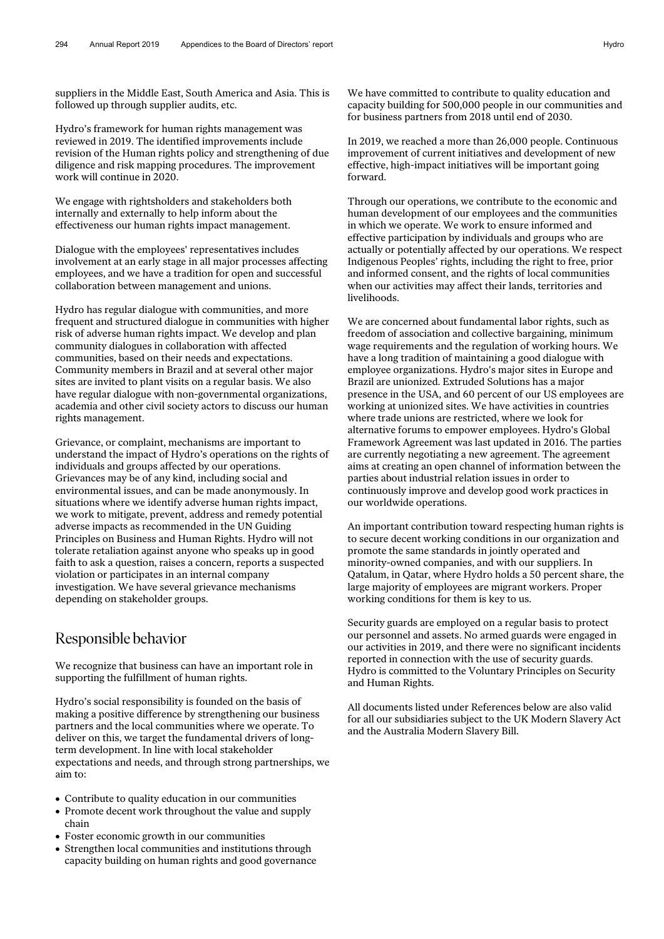suppliers in the Middle East, South America and Asia. This is followed up through supplier audits, etc.

Hydro's framework for human rights management was reviewed in 2019. The identified improvements include revision of the Human rights policy and strengthening of due diligence and risk mapping procedures. The improvement work will continue in 2020.

We engage with rightsholders and stakeholders both internally and externally to help inform about the effectiveness our human rights impact management.

Dialogue with the employees' representatives includes involvement at an early stage in all major processes affecting employees, and we have a tradition for open and successful collaboration between management and unions.

Hydro has regular dialogue with communities, and more frequent and structured dialogue in communities with higher risk of adverse human rights impact. We develop and plan community dialogues in collaboration with affected communities, based on their needs and expectations. Community members in Brazil and at several other major sites are invited to plant visits on a regular basis. We also have regular dialogue with non-governmental organizations, academia and other civil society actors to discuss our human rights management.

Grievance, or complaint, mechanisms are important to understand the impact of Hydro's operations on the rights of individuals and groups affected by our operations. Grievances may be of any kind, including social and environmental issues, and can be made anonymously. In situations where we identify adverse human rights impact, we work to mitigate, prevent, address and remedy potential adverse impacts as recommended in the UN Guiding Principles on Business and Human Rights. Hydro will not tolerate retaliation against anyone who speaks up in good faith to ask a question, raises a concern, reports a suspected violation or participates in an internal company investigation. We have several grievance mechanisms depending on stakeholder groups.

#### Responsible behavior

We recognize that business can have an important role in supporting the fulfillment of human rights.

Hydro's social responsibility is founded on the basis of making a positive difference by strengthening our business partners and the local communities where we operate. To deliver on this, we target the fundamental drivers of longterm development. In line with local stakeholder expectations and needs, and through strong partnerships, we aim to:

- Contribute to quality education in our communities
- Promote decent work throughout the value and supply chain
- Foster economic growth in our communities
- Strengthen local communities and institutions through capacity building on human rights and good governance

We have committed to contribute to quality education and capacity building for 500,000 people in our communities and for business partners from 2018 until end of 2030.

In 2019, we reached a more than 26,000 people. Continuous improvement of current initiatives and development of new effective, high-impact initiatives will be important going forward.

Through our operations, we contribute to the economic and human development of our employees and the communities in which we operate. We work to ensure informed and effective participation by individuals and groups who are actually or potentially affected by our operations. We respect Indigenous Peoples' rights, including the right to free, prior and informed consent, and the rights of local communities when our activities may affect their lands, territories and livelihoods.

We are concerned about fundamental labor rights, such as freedom of association and collective bargaining, minimum wage requirements and the regulation of working hours. We have a long tradition of maintaining a good dialogue with employee organizations. Hydro's major sites in Europe and Brazil are unionized. Extruded Solutions has a major presence in the USA, and 60 percent of our US employees are working at unionized sites. We have activities in countries where trade unions are restricted, where we look for alternative forums to empower employees. Hydro's Global Framework Agreement was last updated in 2016. The parties are currently negotiating a new agreement. The agreement aims at creating an open channel of information between the parties about industrial relation issues in order to continuously improve and develop good work practices in our worldwide operations.

An important contribution toward respecting human rights is to secure decent working conditions in our organization and promote the same standards in jointly operated and minority-owned companies, and with our suppliers. In Qatalum, in Qatar, where Hydro holds a 50 percent share, the large majority of employees are migrant workers. Proper working conditions for them is key to us.

Security guards are employed on a regular basis to protect our personnel and assets. No armed guards were engaged in our activities in 2019, and there were no significant incidents reported in connection with the use of security guards. Hydro is committed to the Voluntary Principles on Security and Human Rights.

All documents listed under References below are also valid for all our subsidiaries subject to the UK Modern Slavery Act and the Australia Modern Slavery Bill.